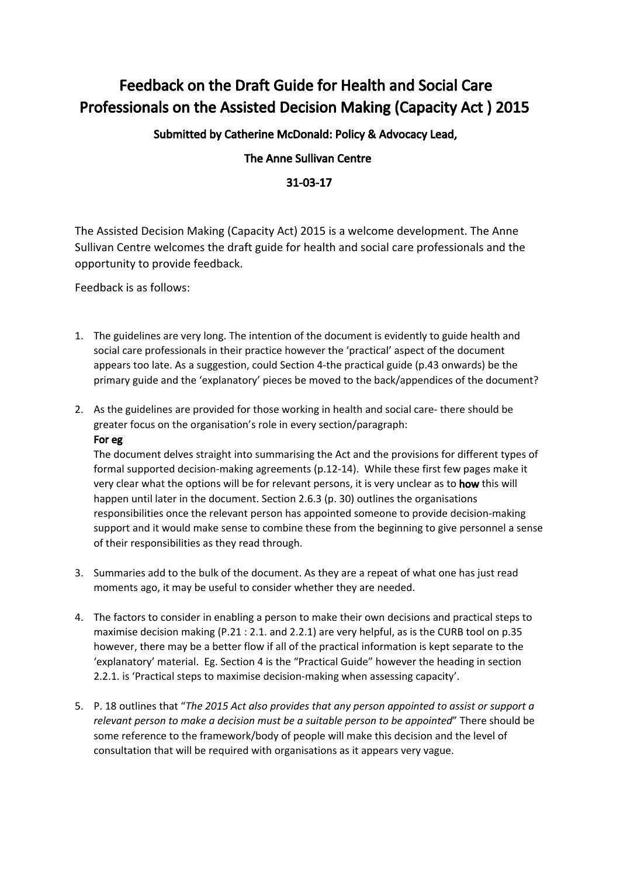## Feedback on the Draft Guide for Health and Social Care Professionals on the Assisted Decision Making (Capacity Act ) 2015

Submitted by Catherine McDonald: Policy & Advocacy Lead,

## The Anne Sullivan Centre

## 31-03-17

The Assisted Decision Making (Capacity Act) 2015 is a welcome development. The Anne Sullivan Centre welcomes the draft guide for health and social care professionals and the opportunity to provide feedback.

Feedback is as follows:

- 1. The guidelines are very long. The intention of the document is evidently to guide health and social care professionals in their practice however the 'practical' aspect of the document appears too late. As a suggestion, could Section 4-the practical guide (p.43 onwards) be the primary guide and the 'explanatory' pieces be moved to the back/appendices of the document?
- 2. As the guidelines are provided for those working in health and social care- there should be greater focus on the organisation's role in every section/paragraph: For eg

The document delves straight into summarising the Act and the provisions for different types of formal supported decision-making agreements (p.12-14). While these first few pages make it very clear what the options will be for relevant persons, it is very unclear as to how this will happen until later in the document. Section 2.6.3 (p. 30) outlines the organisations responsibilities once the relevant person has appointed someone to provide decision-making support and it would make sense to combine these from the beginning to give personnel a sense of their responsibilities as they read through.

- 3. Summaries add to the bulk of the document. As they are a repeat of what one has just read moments ago, it may be useful to consider whether they are needed.
- 4. The factors to consider in enabling a person to make their own decisions and practical steps to maximise decision making (P.21 : 2.1. and 2.2.1) are very helpful, as is the CURB tool on p.35 however, there may be a better flow if all of the practical information is kept separate to the 'explanatory' material. Eg. Section 4 is the "Practical Guide" however the heading in section 2.2.1. is 'Practical steps to maximise decision-making when assessing capacity'.
- 5. P. 18 outlines that "*The 2015 Act also provides that any person appointed to assist or support a relevant person to make a decision must be a suitable person to be appointed*" There should be some reference to the framework/body of people will make this decision and the level of consultation that will be required with organisations as it appears very vague.